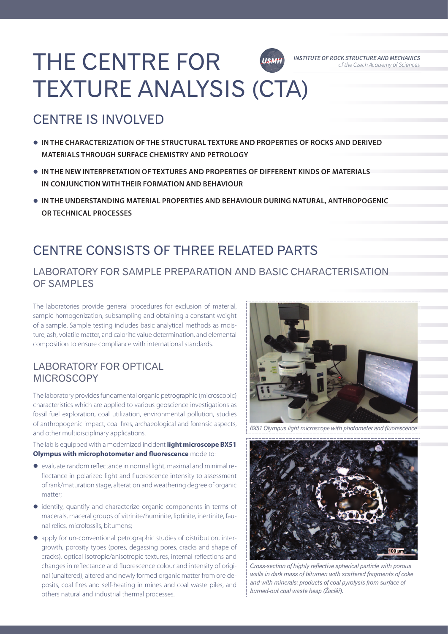### THE CENTRE FOR **INSTITUTE OF ROCK STRUCTURE AND MECHANICS USMH** TEXTURE ANALYSIS (CTA)

# CENTRE IS INVOLVED

- **IN THE CHARACTERIZATION OF THE STRUCTURAL TEXTURE AND PROPERTIES OF ROCKS AND DERIVED MATERIALS THROUGH SURFACE CHEMISTRY AND PETROLOGY**
- **IN THE NEW INTERPRETATION OF TEXTURES AND PROPERTIES OF DIFFERENT KINDS OF MATERIALS IN CONJUNCTION WITH THEIR FORMATION AND BEHAVIOUR**
- **IN THE UNDERSTANDING MATERIAL PROPERTIES AND BEHAVIOUR DURING NATURAL, ANTHROPOGENIC OR TECHNICAL PROCESSES**

## CENTRE CONSISTS OF THREE RELATED PARTS

#### LABORATORY FOR SAMPLE PREPARATION AND BASIC CHARACTERISATION OF SAMPLES

The laboratories provide general procedures for exclusion of material, sample homogenization, subsampling and obtaining a constant weight of a sample. Sample testing includes basic analytical methods as moisture, ash, volatile matter, and calorific value determination, and elemental composition to ensure compliance with international standards.

#### LABORATORY FOR OPTICAL MICROSCOPY

The laboratory provides fundamental organic petrographic (microscopic) characteristics which are applied to various geoscience investigations as fossil fuel exploration, coal utilization, environmental pollution, studies of anthropogenic impact, coal fires, archaeological and forensic aspects, and other multidisciplinary applications.

The lab is equipped with a modernized incident **light microscope BX51 Olympus with microphotometer and fluorescence** mode to:

- evaluate random reflectance in normal light, maximal and minimal reflectance in polarized light and fluorescence intensity to assessment of rank/maturation stage, alteration and weathering degree of organic matter;
- identify, quantify and characterize organic components in terms of macerals, maceral groups of vitrinite/huminite, liptinite, inertinite, faunal relics, microfossils, bitumens;
- apply for un-conventional petrographic studies of distribution, intergrowth, porosity types (pores, degassing pores, cracks and shape of cracks), optical isotropic/anisotropic textures, internal reflections and changes in reflectance and fluorescence colour and intensity of original (unaltered), altered and newly formed organic matter from ore deposits, coal fires and self-heating in mines and coal waste piles, and others natural and industrial thermal processes.



of the Czech Academy of Sciences

*BX51 Olympus light microscope with photometer and fluorescence* 



*Cross-section of highly reflective spherical particle with porous walls in dark mass of bitumen with scattered fragments of coke and with minerals: products of coal pyrolysis from surface of burned-out coal waste heap (Žacléř).*